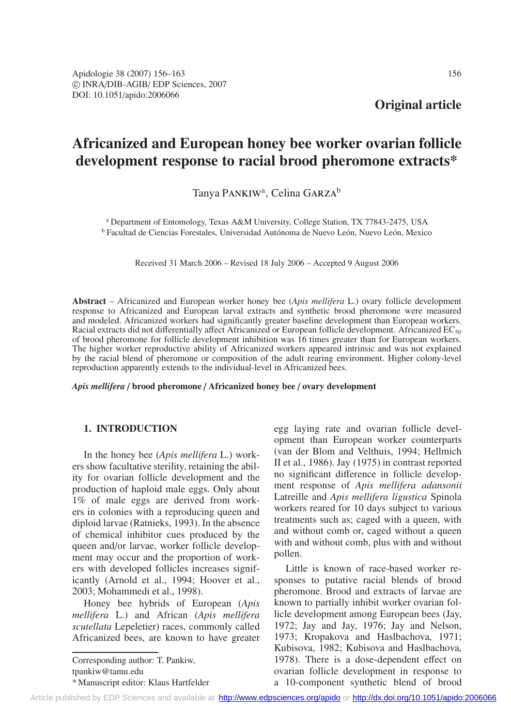**Original article**

# **Africanized and European honey bee worker ovarian follicle development response to racial brood pheromone extracts\***

Tanya PANKIW<sup>a</sup>, Celina GARZA<sup>b</sup>

<sup>a</sup> Department of Entomology, Texas A&M University, College Station, TX 77843-2475, USA <sup>b</sup> Facultad de Ciencias Forestales, Universidad Autónoma de Nuevo León, Nuevo León, Mexico

Received 31 March 2006 – Revised 18 July 2006 – Accepted 9 August 2006

**Abstract** – Africanized and European worker honey bee (*Apis mellifera* L.) ovary follicle development response to Africanized and European larval extracts and synthetic brood pheromone were measured and modeled. Africanized workers had significantly greater baseline development than European workers. Racial extracts did not differentially affect Africanized or European follicle development. Africanized EC<sub>50</sub> of brood pheromone for follicle development inhibition was 16 times greater than for European workers. The higher worker reproductive ability of Africanized workers appeared intrinsic and was not explained by the racial blend of pheromone or composition of the adult rearing environment. Higher colony-level reproduction apparently extends to the individual-level in Africanized bees.

*Apis mellifera* / **brood pheromone** / **Africanized honey bee** / **ovary development**

## **1. INTRODUCTION**

In the honey bee (*Apis mellifera* L.) workers show facultative sterility, retaining the ability for ovarian follicle development and the production of haploid male eggs. Only about 1% of male eggs are derived from workers in colonies with a reproducing queen and diploid larvae (Ratnieks, 1993). In the absence of chemical inhibitor cues produced by the queen and/or larvae, worker follicle development may occur and the proportion of workers with developed follicles increases significantly (Arnold et al., 1994; Hoover et al., 2003; Mohammedi et al., 1998).

Honey bee hybrids of European (*Apis mellifera* L.) and African (*Apis mellifera scutellata* Lepeletier) races, commonly called Africanized bees, are known to have greater

Corresponding author: T. Pankiw, tpankiw@tamu.edu

\* Manuscript editor: Klaus Hartfelder

egg laying rate and ovarian follicle development than European worker counterparts (van der Blom and Velthuis, 1994; Hellmich II et al., 1986). Jay (1975) in contrast reported no significant difference in follicle development response of *Apis mellifera adansonii* Latreille and *Apis mellifera ligustica* Spinola workers reared for 10 days subject to various treatments such as; caged with a queen, with and without comb or, caged without a queen with and without comb, plus with and without pollen.

Little is known of race-based worker responses to putative racial blends of brood pheromone. Brood and extracts of larvae are known to partially inhibit worker ovarian follicle development among European bees (Jay, 1972; Jay and Jay, 1976; Jay and Nelson, 1973; Kropakova and Haslbachova, 1971; Kubisova, 1982; Kubisova and Haslbachova, 1978). There is a dose-dependent effect on ovarian follicle development in response to a 10-component synthetic blend of brood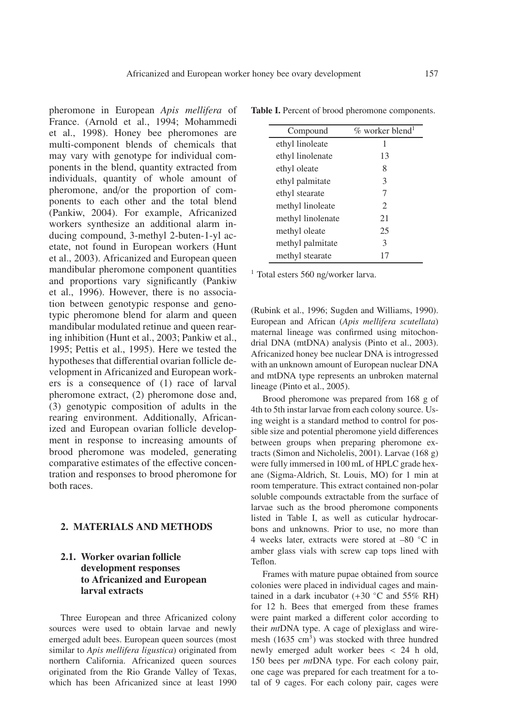pheromone in European *Apis mellifera* of France. (Arnold et al., 1994; Mohammedi et al., 1998). Honey bee pheromones are multi-component blends of chemicals that may vary with genotype for individual components in the blend, quantity extracted from individuals, quantity of whole amount of pheromone, and/or the proportion of components to each other and the total blend (Pankiw, 2004). For example, Africanized workers synthesize an additional alarm inducing compound, 3-methyl 2-buten-1-yl acetate, not found in European workers (Hunt et al., 2003). Africanized and European queen mandibular pheromone component quantities and proportions vary significantly (Pankiw et al., 1996). However, there is no association between genotypic response and genotypic pheromone blend for alarm and queen mandibular modulated retinue and queen rearing inhibition (Hunt et al., 2003; Pankiw et al., 1995; Pettis et al., 1995). Here we tested the hypotheses that differential ovarian follicle development in Africanized and European workers is a consequence of (1) race of larval pheromone extract, (2) pheromone dose and, (3) genotypic composition of adults in the rearing environment. Additionally, Africanized and European ovarian follicle development in response to increasing amounts of brood pheromone was modeled, generating comparative estimates of the effective concentration and responses to brood pheromone for both races.

# **2. MATERIALS AND METHODS**

## **2.1. Worker ovarian follicle development responses to Africanized and European larval extracts**

Three European and three Africanized colony sources were used to obtain larvae and newly emerged adult bees. European queen sources (most similar to *Apis mellifera ligustica*) originated from northern California. Africanized queen sources originated from the Rio Grande Valley of Texas, which has been Africanized since at least 1990

Compound  $\%$  worker blend<sup>1</sup> ethyl linoleate 1 ethyl linolenate 13 ethyl oleate 8 ethyl palmitate 3 ethyl stearate 7 methyl linoleate 2 methyl linolenate 21 methyl oleate 25 methyl palmitate 3 methyl stearate 17

**Table I.** Percent of brood pheromone components.

<sup>1</sup> Total esters 560 ng/worker larva.

(Rubink et al., 1996; Sugden and Williams, 1990). European and African (*Apis mellifera scutellata*) maternal lineage was confirmed using mitochondrial DNA (mtDNA) analysis (Pinto et al., 2003). Africanized honey bee nuclear DNA is introgressed with an unknown amount of European nuclear DNA and mtDNA type represents an unbroken maternal lineage (Pinto et al., 2005).

Brood pheromone was prepared from 168 g of 4th to 5th instar larvae from each colony source. Using weight is a standard method to control for possible size and potential pheromone yield differences between groups when preparing pheromone extracts (Simon and Nicholelis, 2001). Larvae (168 g) were fully immersed in 100 mL of HPLC grade hexane (Sigma-Aldrich, St. Louis, MO) for 1 min at room temperature. This extract contained non-polar soluble compounds extractable from the surface of larvae such as the brood pheromone components listed in Table I, as well as cuticular hydrocarbons and unknowns. Prior to use, no more than 4 weeks later, extracts were stored at –80 ◦C in amber glass vials with screw cap tops lined with Teflon.

Frames with mature pupae obtained from source colonies were placed in individual cages and maintained in a dark incubator  $(+30 °C)$  and  $55\%$  RH) for 12 h. Bees that emerged from these frames were paint marked a different color according to their *mt*DNA type. A cage of plexiglass and wiremesh (1635 cm<sup>3</sup>) was stocked with three hundred newly emerged adult worker bees < 24 h old, 150 bees per *mt*DNA type. For each colony pair, one cage was prepared for each treatment for a total of 9 cages. For each colony pair, cages were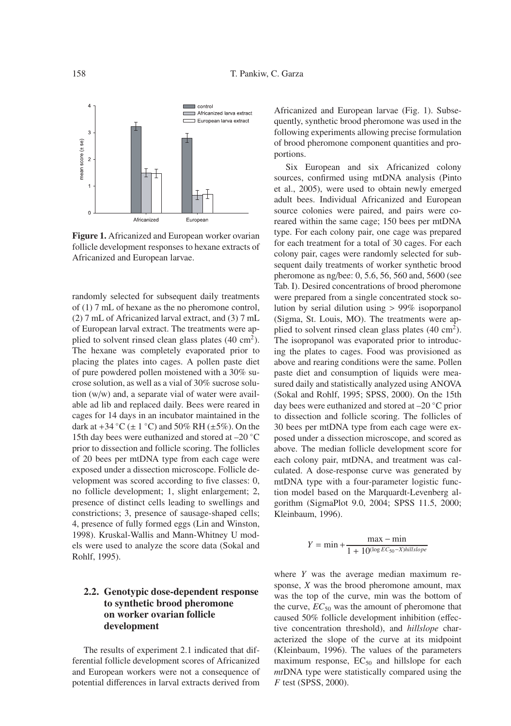

**Figure 1.** Africanized and European worker ovarian follicle development responses to hexane extracts of Africanized and European larvae.

randomly selected for subsequent daily treatments of (1) 7 mL of hexane as the no pheromone control, (2) 7 mL of Africanized larval extract, and (3) 7 mL of European larval extract. The treatments were applied to solvent rinsed clean glass plates  $(40 \text{ cm}^2)$ . The hexane was completely evaporated prior to placing the plates into cages. A pollen paste diet of pure powdered pollen moistened with a 30% sucrose solution, as well as a vial of 30% sucrose solution (w/w) and, a separate vial of water were available ad lib and replaced daily. Bees were reared in cages for 14 days in an incubator maintained in the dark at  $+34$  °C ( $\pm$  1 °C) and 50% RH ( $\pm$ 5%). On the 15th day bees were euthanized and stored at –20 ◦C prior to dissection and follicle scoring. The follicles of 20 bees per mtDNA type from each cage were exposed under a dissection microscope. Follicle development was scored according to five classes: 0, no follicle development; 1, slight enlargement; 2, presence of distinct cells leading to swellings and constrictions; 3, presence of sausage-shaped cells; 4, presence of fully formed eggs (Lin and Winston, 1998). Kruskal-Wallis and Mann-Whitney U models were used to analyze the score data (Sokal and Rohlf, 1995).

## **2.2. Genotypic dose-dependent response to synthetic brood pheromone on worker ovarian follicle development**

The results of experiment 2.1 indicated that differential follicle development scores of Africanized and European workers were not a consequence of potential differences in larval extracts derived from Africanized and European larvae (Fig. 1). Subsequently, synthetic brood pheromone was used in the following experiments allowing precise formulation of brood pheromone component quantities and proportions.

Six European and six Africanized colony sources, confirmed using mtDNA analysis (Pinto et al., 2005), were used to obtain newly emerged adult bees. Individual Africanized and European source colonies were paired, and pairs were coreared within the same cage; 150 bees per mtDNA type. For each colony pair, one cage was prepared for each treatment for a total of 30 cages. For each colony pair, cages were randomly selected for subsequent daily treatments of worker synthetic brood pheromone as ng/bee: 0, 5.6, 56, 560 and, 5600 (see Tab. I). Desired concentrations of brood pheromone were prepared from a single concentrated stock solution by serial dilution using > 99% isoporpanol (Sigma, St. Louis, MO). The treatments were applied to solvent rinsed clean glass plates  $(40 \text{ cm}^2)$ . The isopropanol was evaporated prior to introducing the plates to cages. Food was provisioned as above and rearing conditions were the same. Pollen paste diet and consumption of liquids were measured daily and statistically analyzed using ANOVA (Sokal and Rohlf, 1995; SPSS, 2000). On the 15th day bees were euthanized and stored at –20 ◦C prior to dissection and follicle scoring. The follicles of 30 bees per mtDNA type from each cage were exposed under a dissection microscope, and scored as above. The median follicle development score for each colony pair, mtDNA, and treatment was calculated. A dose-response curve was generated by mtDNA type with a four-parameter logistic function model based on the Marquardt-Levenberg algorithm (SigmaPlot 9.0, 2004; SPSS 11.5, 2000; Kleinbaum, 1996).

$$
Y = \min + \frac{\max - \min}{1 + 10^{(\log EC_{50} - X) \hbar illslope}}
$$

where *Y* was the average median maximum response, *X* was the brood pheromone amount, max was the top of the curve, min was the bottom of the curve,  $EC_{50}$  was the amount of pheromone that caused 50% follicle development inhibition (effective concentration threshold), and *hillslope* characterized the slope of the curve at its midpoint (Kleinbaum, 1996). The values of the parameters maximum response,  $EC_{50}$  and hillslope for each *mt*DNA type were statistically compared using the *F* test (SPSS, 2000).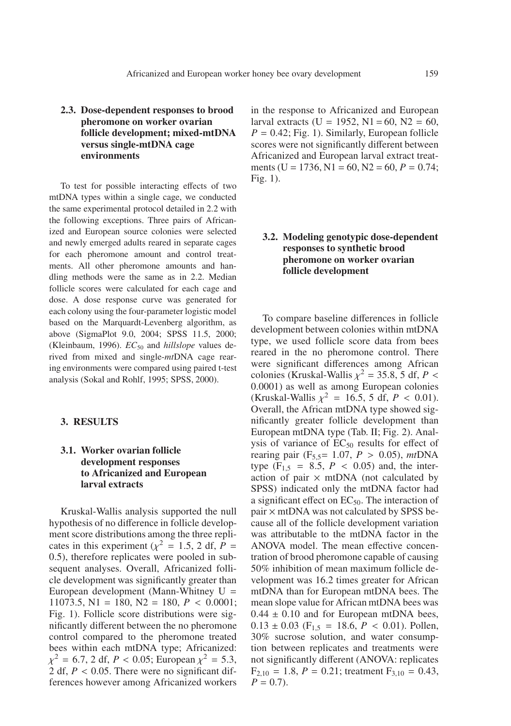# **2.3. Dose-dependent responses to brood pheromone on worker ovarian follicle development; mixed-mtDNA versus single-mtDNA cage environments**

To test for possible interacting effects of two mtDNA types within a single cage, we conducted the same experimental protocol detailed in 2.2 with the following exceptions. Three pairs of Africanized and European source colonies were selected and newly emerged adults reared in separate cages for each pheromone amount and control treatments. All other pheromone amounts and handling methods were the same as in 2.2. Median follicle scores were calculated for each cage and dose. A dose response curve was generated for each colony using the four-parameter logistic model based on the Marquardt-Levenberg algorithm, as above (SigmaPlot 9.0, 2004; SPSS 11.5, 2000; (Kleinbaum, 1996). *EC*<sub>50</sub> and *hillslope* values derived from mixed and single-*mt*DNA cage rearing environments were compared using paired t-test analysis (Sokal and Rohlf, 1995; SPSS, 2000).

#### **3. RESULTS**

## **3.1. Worker ovarian follicle development responses to Africanized and European larval extracts**

Kruskal-Wallis analysis supported the null hypothesis of no difference in follicle development score distributions among the three replicates in this experiment ( $\chi^2$  = 1.5, 2 df, *P* = 0.5), therefore replicates were pooled in subsequent analyses. Overall, Africanized follicle development was significantly greater than European development (Mann-Whitney U = 11073.5,  $N1 = 180$ ,  $N2 = 180$ ,  $P < 0.0001$ ; Fig. 1). Follicle score distributions were significantly different between the no pheromone control compared to the pheromone treated bees within each mtDNA type; Africanized:  $\chi^2 = 6.7$ , 2 df, *P* < 0.05; European  $\chi^2 = 5.3$ , 2 df,  $P < 0.05$ . There were no significant differences however among Africanized workers in the response to Africanized and European larval extracts (U = 1952, N1 = 60, N2 = 60,  $P = 0.42$ ; Fig. 1). Similarly, European follicle scores were not significantly different between Africanized and European larval extract treatments (U = 1736, N1 = 60, N2 = 60,  $P = 0.74$ ; Fig. 1).

# **3.2. Modeling genotypic dose-dependent responses to synthetic brood pheromone on worker ovarian follicle development**

To compare baseline differences in follicle development between colonies within mtDNA type, we used follicle score data from bees reared in the no pheromone control. There were significant differences among African colonies (Kruskal-Wallis  $\chi^2$  = 35.8, 5 df, *P* < 0.0001) as well as among European colonies (Kruskal-Wallis  $\chi^2 = 16.5, 5$  df,  $P < 0.01$ ). Overall, the African mtDNA type showed significantly greater follicle development than European mtDNA type (Tab. II; Fig. 2). Analysis of variance of  $EC_{50}$  results for effect of rearing pair  $(F_{5,5} = 1.07, P > 0.05)$ , *mt*DNA type  $(F_{1,5} = 8.5, P < 0.05)$  and, the interaction of pair  $\times$  mtDNA (not calculated by SPSS) indicated only the mtDNA factor had a significant effect on  $EC_{50}$ . The interaction of  $pair \times mtDNA$  was not calculated by SPSS because all of the follicle development variation was attributable to the mtDNA factor in the ANOVA model. The mean effective concentration of brood pheromone capable of causing 50% inhibition of mean maximum follicle development was 16.2 times greater for African mtDNA than for European mtDNA bees. The mean slope value for African mtDNA bees was  $0.44 \pm 0.10$  and for European mtDNA bees,  $0.13 \pm 0.03$  (F<sub>1.5</sub> = 18.6, *P* < 0.01). Pollen, 30% sucrose solution, and water consumption between replicates and treatments were not significantly different (ANOVA: replicates  $F_{2,10} = 1.8, P = 0.21$ ; treatment  $F_{3,10} = 0.43$ ,  $P = 0.7$ .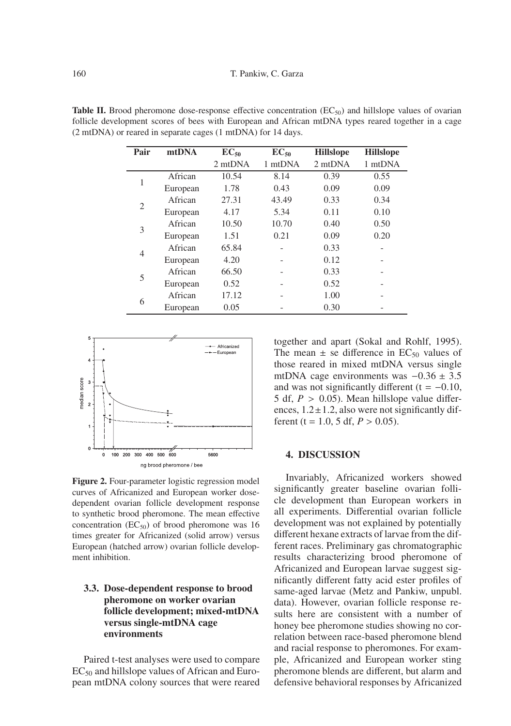| Pair           | mtDNA    | $EC_{50}$ | $EC_{50}$ | <b>Hillslope</b> | <b>Hillslope</b> |
|----------------|----------|-----------|-----------|------------------|------------------|
|                |          | 2 mtDNA   | 1 mtDNA   | 2 mtDNA          | 1 mtDNA          |
|                | African  | 10.54     | 8.14      | 0.39             | 0.55             |
|                | European | 1.78      | 0.43      | 0.09             | 0.09             |
| $\overline{2}$ | African  | 27.31     | 43.49     | 0.33             | 0.34             |
|                | European | 4.17      | 5.34      | 0.11             | 0.10             |
| 3              | African  | 10.50     | 10.70     | 0.40             | 0.50             |
|                | European | 1.51      | 0.21      | 0.09             | 0.20             |
| 4              | African  | 65.84     |           | 0.33             |                  |
|                | European | 4.20      |           | 0.12             |                  |
| 5              | African  | 66.50     |           | 0.33             |                  |
|                | European | 0.52      |           | 0.52             |                  |
| 6              | African  | 17.12     |           | 1.00             |                  |
|                | European | 0.05      |           | 0.30             |                  |

**Table II.** Brood pheromone dose-response effective concentration  $(EC_{50})$  and hillslope values of ovarian follicle development scores of bees with European and African mtDNA types reared together in a cage (2 mtDNA) or reared in separate cages (1 mtDNA) for 14 days.



**Figure 2.** Four-parameter logistic regression model curves of Africanized and European worker dosedependent ovarian follicle development response to synthetic brood pheromone. The mean effective concentration ( $EC_{50}$ ) of brood pheromone was 16 times greater for Africanized (solid arrow) versus European (hatched arrow) ovarian follicle development inhibition.

## **3.3. Dose-dependent response to brood pheromone on worker ovarian follicle development; mixed-mtDNA versus single-mtDNA cage environments**

Paired t-test analyses were used to compare  $EC_{50}$  and hillslope values of African and European mtDNA colony sources that were reared together and apart (Sokal and Rohlf, 1995). The mean  $\pm$  se difference in EC<sub>50</sub> values of those reared in mixed mtDNA versus single mtDNA cage environments was −0.36 ± 3.5 and was not significantly different ( $t = -0.10$ , 5 df,  $P > 0.05$ ). Mean hillslope value differences,  $1.2 \pm 1.2$ , also were not significantly different (t = 1.0, 5 df,  $P > 0.05$ ).

#### **4. DISCUSSION**

Invariably, Africanized workers showed significantly greater baseline ovarian follicle development than European workers in all experiments. Differential ovarian follicle development was not explained by potentially different hexane extracts of larvae from the different races. Preliminary gas chromatographic results characterizing brood pheromone of Africanized and European larvae suggest significantly different fatty acid ester profiles of same-aged larvae (Metz and Pankiw, unpubl. data). However, ovarian follicle response results here are consistent with a number of honey bee pheromone studies showing no correlation between race-based pheromone blend and racial response to pheromones. For example, Africanized and European worker sting pheromone blends are different, but alarm and defensive behavioral responses by Africanized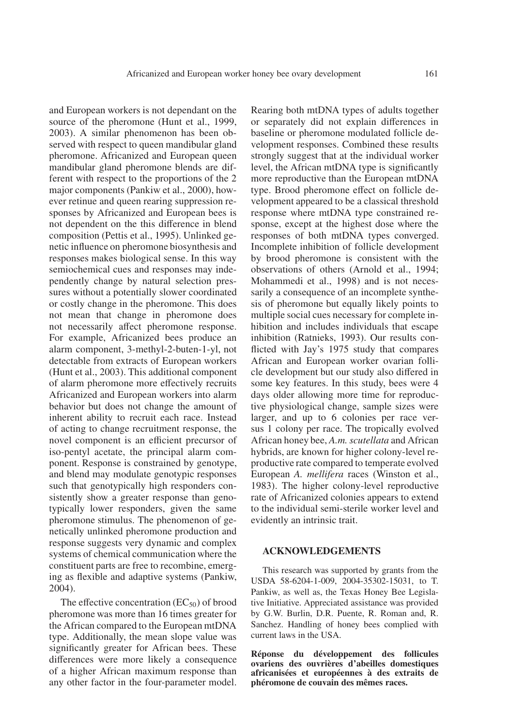and European workers is not dependant on the source of the pheromone (Hunt et al., 1999, 2003). A similar phenomenon has been observed with respect to queen mandibular gland pheromone. Africanized and European queen mandibular gland pheromone blends are different with respect to the proportions of the 2 major components (Pankiw et al., 2000), however retinue and queen rearing suppression responses by Africanized and European bees is not dependent on the this difference in blend composition (Pettis et al., 1995). Unlinked genetic influence on pheromone biosynthesis and responses makes biological sense. In this way semiochemical cues and responses may independently change by natural selection pressures without a potentially slower coordinated or costly change in the pheromone. This does not mean that change in pheromone does not necessarily affect pheromone response. For example, Africanized bees produce an alarm component, 3-methyl-2-buten-1-yl, not detectable from extracts of European workers (Hunt et al., 2003). This additional component of alarm pheromone more effectively recruits Africanized and European workers into alarm behavior but does not change the amount of inherent ability to recruit each race. Instead of acting to change recruitment response, the novel component is an efficient precursor of iso-pentyl acetate, the principal alarm component. Response is constrained by genotype, and blend may modulate genotypic responses such that genotypically high responders consistently show a greater response than genotypically lower responders, given the same pheromone stimulus. The phenomenon of genetically unlinked pheromone production and response suggests very dynamic and complex systems of chemical communication where the constituent parts are free to recombine, emerging as flexible and adaptive systems (Pankiw, 2004).

The effective concentration  $(EC_{50})$  of brood pheromone was more than 16 times greater for the African compared to the European mtDNA type. Additionally, the mean slope value was significantly greater for African bees. These differences were more likely a consequence of a higher African maximum response than any other factor in the four-parameter model. Rearing both mtDNA types of adults together or separately did not explain differences in baseline or pheromone modulated follicle development responses. Combined these results strongly suggest that at the individual worker level, the African mtDNA type is significantly more reproductive than the European mtDNA type. Brood pheromone effect on follicle development appeared to be a classical threshold response where mtDNA type constrained response, except at the highest dose where the responses of both mtDNA types converged. Incomplete inhibition of follicle development by brood pheromone is consistent with the observations of others (Arnold et al., 1994; Mohammedi et al., 1998) and is not necessarily a consequence of an incomplete synthesis of pheromone but equally likely points to multiple social cues necessary for complete inhibition and includes individuals that escape inhibition (Ratnieks, 1993). Our results conflicted with Jay's 1975 study that compares African and European worker ovarian follicle development but our study also differed in some key features. In this study, bees were 4 days older allowing more time for reproductive physiological change, sample sizes were larger, and up to 6 colonies per race versus 1 colony per race. The tropically evolved African honey bee, *A.m. scutellata* and African hybrids, are known for higher colony-level reproductive rate compared to temperate evolved European *A. mellifera* races (Winston et al., 1983). The higher colony-level reproductive rate of Africanized colonies appears to extend to the individual semi-sterile worker level and evidently an intrinsic trait.

#### **ACKNOWLEDGEMENTS**

This research was supported by grants from the USDA 58-6204-1-009, 2004-35302-15031, to T. Pankiw, as well as, the Texas Honey Bee Legislative Initiative. Appreciated assistance was provided by G.W. Burlin, D.R. Puente, R. Roman and, R. Sanchez. Handling of honey bees complied with current laws in the USA.

**Réponse du développement des follicules ovariens des ouvrières d'abeilles domestiques africanisées et européennes à des extraits de phéromone de couvain des mêmes races.**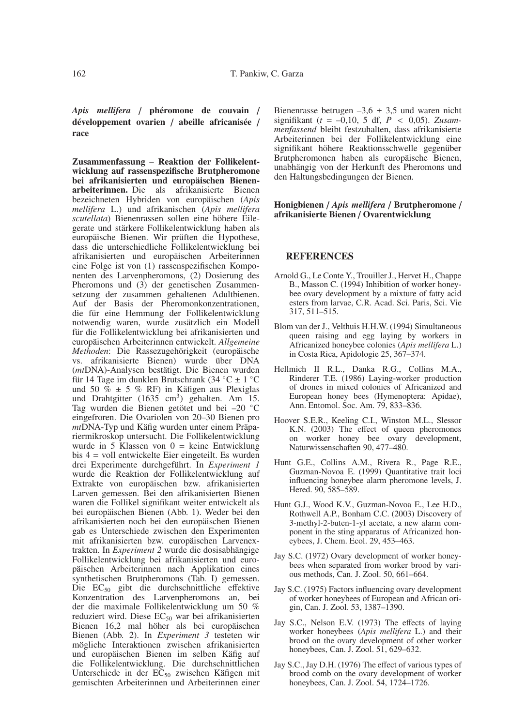*Apis mellifera* / **phéromone de couvain** / **développement ovarien** / **abeille africanisée** / **race**

**Zusammenfassung** – **Reaktion der Follikelentwicklung auf rassenspezifische Brutpheromone bei afrikanisierten und europäischen Bienenarbeiterinnen.** Die als afrikanisierte Bienen bezeichneten Hybriden von europäischen (*Apis mellifera* L.) und afrikanischen (*Apis mellifera scutellata*) Bienenrassen sollen eine höhere Eilegerate und stärkere Follikelentwicklung haben als europäische Bienen. Wir prüften die Hypothese, dass die unterschiedliche Follikelentwicklung bei afrikanisierten und europäischen Arbeiterinnen eine Folge ist von (1) rassenspezifischen Komponenten des Larvenpheromons, (2) Dosierung des Pheromons und (3) der genetischen Zusammensetzung der zusammen gehaltenen Adultbienen. Auf der Basis der Pheromonkonzentrationen, die für eine Hemmung der Follikelentwicklung notwendig waren, wurde zusätzlich ein Modell für die Follikelentwicklung bei afrikanisierten und europäischen Arbeiterinnen entwickelt. *Allgemeine Methoden*: Die Rassezugehörigkeit (europäische vs. afrikanisierte Bienen) wurde über DNA (*mt*DNA)-Analysen bestätigt. Die Bienen wurden für 14 Tage im dunklen Brutschrank (34 °C  $\pm$  1 °C und 50 %  $\pm$  5 % RF) in Käfigen aus Plexiglas und Drahtgitter (1635 cm<sup>3</sup>) gehalten. Am 15. Tag wurden die Bienen getötet und bei –20 ◦C eingefroren. Die Ovariolen von 20–30 Bienen pro *mt*DNA-Typ und Käfig wurden unter einem Präpariermikroskop untersucht. Die Follikelentwicklung wurde in 5 Klassen von  $0 =$  keine Entwicklung bis 4 = voll entwickelte Eier eingeteilt. Es wurden drei Experimente durchgeführt. In *Experiment 1* wurde die Reaktion der Follikelentwicklung auf Extrakte von europäischen bzw. afrikanisierten Larven gemessen. Bei den afrikanisierten Bienen waren die Follikel signifikant weiter entwickelt als bei europäischen Bienen (Abb. 1). Weder bei den afrikanisierten noch bei den europäischen Bienen gab es Unterschiede zwischen den Experimenten mit afrikanisierten bzw. europäischen Larvenextrakten. In *Experiment 2* wurde die dosisabhängige Follikelentwicklung bei afrikanisierten und europäischen Arbeiterinnen nach Applikation eines synthetischen Brutpheromons (Tab. I) gemessen. Die EC<sub>50</sub> gibt die durchschnittliche effektive Konzentration des Larvenpheromons an, bei der die maximale Follikelentwicklung um 50 % reduziert wird. Diese  $EC_{50}$  war bei afrikanisierten Bienen 16,2 mal höher als bei europäischen Bienen (Abb. 2). In *Experiment 3* testeten wir mögliche Interaktionen zwischen afrikanisierten und europäischen Bienen im selben Käfig auf die Follikelentwicklung. Die durchschnittlichen Unterschiede in der EC<sub>50</sub> zwischen Käfigen mit gemischten Arbeiterinnen und Arbeiterinnen einer Bienenrasse betrugen  $-3.6 \pm 3.5$  und waren nicht  ${\rm signifikant}$  (*t* = -0,10, 5 df, *P* < 0,05). *Zusammenfassend* bleibt festzuhalten, dass afrikanisierte Arbeiterinnen bei der Follikelentwicklung eine signifikant höhere Reaktionsschwelle gegenüber Brutpheromonen haben als europäische Bienen, unabhängig von der Herkunft des Pheromons und den Haltungsbedingungen der Bienen.

#### **Honigbienen** / *Apis mellifera* / **Brutpheromone** / **afrikanisierte Bienen** / **Ovarentwicklung**

#### **REFERENCES**

- Arnold G., Le Conte Y., Trouiller J., Hervet H., Chappe B., Masson C. (1994) Inhibition of worker honeybee ovary development by a mixture of fatty acid esters from larvae, C.R. Acad. Sci. Paris, Sci. Vie 317, 511–515.
- Blom van der J., Velthuis H.H.W. (1994) Simultaneous queen raising and egg laying by workers in Africanized honeybee colonies (*Apis mellifera* L.) in Costa Rica, Apidologie 25, 367–374.
- Hellmich II R.L., Danka R.G., Collins M.A., Rinderer T.E. (1986) Laying-worker production of drones in mixed colonies of Africanized and European honey bees (Hymenoptera: Apidae), Ann. Entomol. Soc. Am. 79, 833–836.
- Hoover S.E.R., Keeling C.I., Winston M.L., Slessor K.N. (2003) The effect of queen pheromones on worker honey bee ovary development, Naturwissenschaften 90, 477–480.
- Hunt G.E., Collins A.M., Rivera R., Page R.E., Guzman-Novoa E. (1999) Quantitative trait loci influencing honeybee alarm pheromone levels, J. Hered. 90, 585–589.
- Hunt G.J., Wood K.V., Guzman-Novoa E., Lee H.D., Rothwell A.P., Bonham C.C. (2003) Discovery of 3-methyl-2-buten-1-yl acetate, a new alarm component in the sting apparatus of Africanized honeybees, J. Chem. Ecol. 29, 453–463.
- Jay S.C. (1972) Ovary development of worker honeybees when separated from worker brood by various methods, Can. J. Zool. 50, 661–664.
- Jay S.C. (1975) Factors influencing ovary development of worker honeybees of European and African origin, Can. J. Zool. 53, 1387–1390.
- Jay S.C., Nelson E.V. (1973) The effects of laying worker honeybees (*Apis mellifera* L.) and their brood on the ovary development of other worker honeybees, Can. J. Zool. 51, 629–632.
- Jay S.C., Jay D.H. (1976) The effect of various types of brood comb on the ovary development of worker honeybees, Can. J. Zool. 54, 1724–1726.